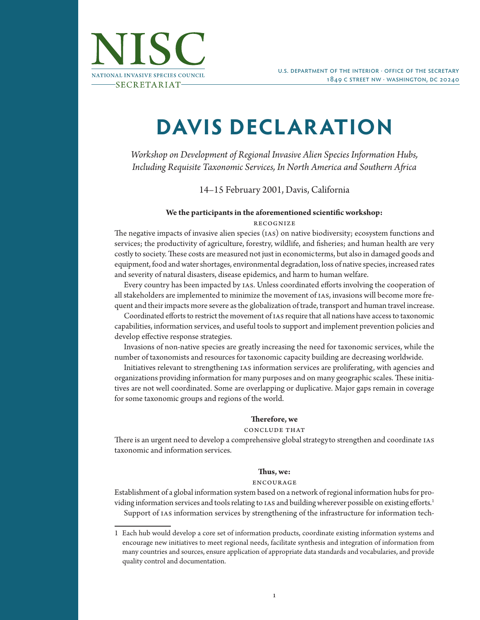

# **DAVIS DECLARATION**

*Workshop on Development of Regional Invasive Alien Species Information Hubs, Including Requisite Taxonomic Services, In North America and Southern Africa*

14–15 February 2001, Davis, California

## **We the participants in the aforementioned scientific workshop:** recognize

The negative impacts of invasive alien species (ias) on native biodiversity; ecosystem functions and services; the productivity of agriculture, forestry, wildlife, and fisheries; and human health are very costly to society. These costs are measured not just in economic terms, but also in damaged goods and equipment, food and water shortages, environmental degradation, loss of native species, increased rates and severity of natural disasters, disease epidemics, and harm to human welfare.

Every country has been impacted by ias. Unless coordinated efforts involving the cooperation of all stakeholders are implemented to minimize the movement of ias, invasions will become more frequent and their impacts more severe as the globalization of trade, transport and human travel increase.

Coordinated efforts to restrict the movement of ias require that all nations have access to taxonomic capabilities, information services, and useful tools to support and implement prevention policies and develop effective response strategies.

Invasions of non-native species are greatly increasing the need for taxonomic services, while the number of taxonomists and resources for taxonomic capacity building are decreasing worldwide.

Initiatives relevant to strengthening ias information services are proliferating, with agencies and organizations providing information for many purposes and on many geographic scales. These initiatives are not well coordinated. Some are overlapping or duplicative. Major gaps remain in coverage for some taxonomic groups and regions of the world.

## **Therefore, we**

## conclude that

There is an urgent need to develop a comprehensive global strategy to strengthen and coordinate ias taxonomic and information services.

## **Thus, we:**

## encourage

Establishment of a global information system based on a network of regional information hubs for providing information services and tools relating to IAS and building wherever possible on existing efforts.<sup>1</sup> Support of ias information services by strengthening of the infrastructure for information tech-

<sup>1</sup> Each hub would develop a core set of information products, coordinate existing information systems and encourage new initiatives to meet regional needs, facilitate synthesis and integration of information from many countries and sources, ensure application of appropriate data standards and vocabularies, and provide quality control and documentation.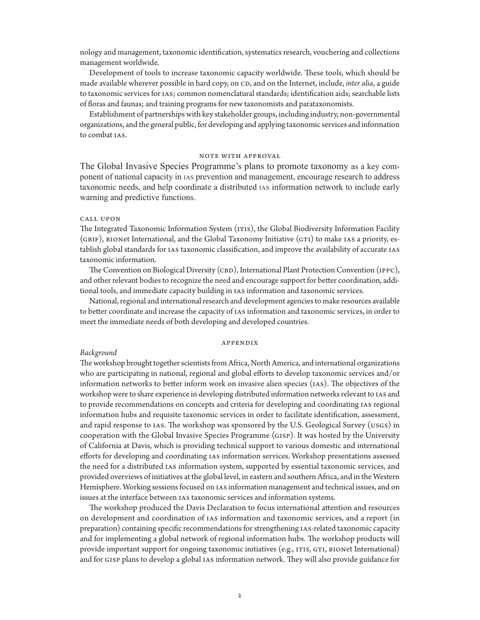nology and management, taxonomic identification, systematics research, vouchering and collections management worldwide.

Development of tools to increase taxonomic capacity worldwide. These tools, which should be made available wherever possible in hard copy, on CD, and on the Internet, include, *inter alia*, a guide to taxonomic services for ias; common nomenclatural standards; identification aids; searchable lists of floras and faunas; and training programs for new taxonomists and parataxonomists.

Establishment of partnerships with key stakeholder groups, including industry, non-governmental organizations, and the general public, for developing and applying taxonomic services and information to combat ias.

#### note with approval

The Global Invasive Species Programme's plans to promote taxonomy as a key component of national capacity in ias prevention and management, encourage research to address taxonomic needs, and help coordinate a distributed ias information network to include early warning and predictive functions.

#### call upon

The Integrated Taxonomic Information System (ITIS), the Global Biodiversity Information Facility  $(GBIF)$ , BIONet International, and the Global Taxonomy Initiative  $(GTI)$  to make IAS a priority, establish global standards for ias taxonomic classification, and improve the availability of accurate ias taxonomic information.

The Convention on Biological Diversity (CBD), International Plant Protection Convention (IPPC), and other relevant bodies to recognize the need and encourage support for better coordination, additional tools, and immediate capacity building in ias information and taxonomic services.

National, regional and international research and development agencies to make resources available to better coordinate and increase the capacity of ias information and taxonomic services, in order to meet the immediate needs of both developing and developed countries.

#### appendix

#### *Background*

The workshop brought together scientists from Africa, North America, and international organizations who are participating in national, regional and global efforts to develop taxonomic services and/or information networks to better inform work on invasive alien species (ias). The objectives of the workshop were to share experience in developing distributed information networks relevant to ias and to provide recommendations on concepts and criteria for developing and coordinating IAS regional information hubs and requisite taxonomic services in order to facilitate identification, assessment, and rapid response to ias. The workshop was sponsored by the U.S. Geological Survey (usgs) in cooperation with the Global Invasive Species Programme (gisp). It was hosted by the University of California at Davis, which is providing technical support to various domestic and international efforts for developing and coordinating ias information services. Workshop presentations assessed the need for a distributed ias information system, supported by essential taxonomic services, and provided overviews of initiatives at the global level, in eastern and southern Africa, and in the Western Hemisphere. Working sessions focused on ias information management and technical issues, and on issues at the interface between ias taxonomic services and information systems.

The workshop produced the Davis Declaration to focus international attention and resources on development and coordination of ias information and taxonomic services, and a report (in preparation) containing specific recommendations for strengthening IAS-related taxonomic capacity and for implementing a global network of regional information hubs. The workshop products will provide important support for ongoing taxonomic initiatives (e.g., ITIS, GTI, BIONet International) and for gisp plans to develop a global ias information network. They will also provide guidance for